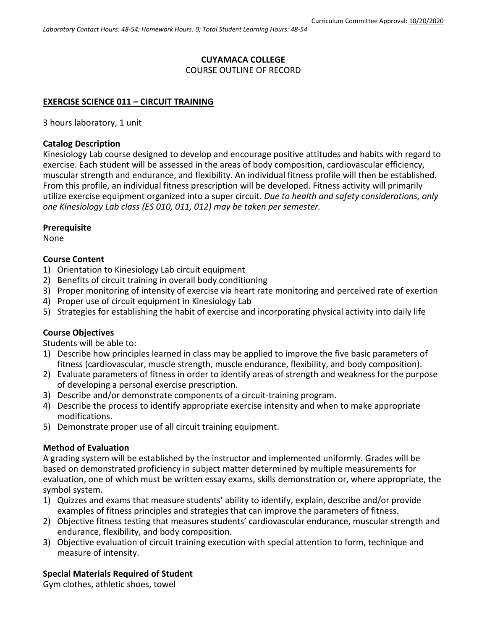#### **CUYAMACA COLLEGE** COURSE OUTLINE OF RECORD

# **EXERCISE SCIENCE 011 – CIRCUIT TRAINING**

3 hours laboratory, 1 unit

## **Catalog Description**

Kinesiology Lab course designed to develop and encourage positive attitudes and habits with regard to exercise. Each student will be assessed in the areas of body composition, cardiovascular efficiency, muscular strength and endurance, and flexibility. An individual fitness profile will then be established. From this profile, an individual fitness prescription will be developed. Fitness activity will primarily utilize exercise equipment organized into a super circuit. *Due to health and safety considerations, only one Kinesiology Lab class (ES 010, 011, 012) may be taken per semester.*

## **Prerequisite**

None

## **Course Content**

- 1) Orientation to Kinesiology Lab circuit equipment
- 2) Benefits of circuit training in overall body conditioning
- 3) Proper monitoring of intensity of exercise via heart rate monitoring and perceived rate of exertion
- 4) Proper use of circuit equipment in Kinesiology Lab
- 5) Strategies for establishing the habit of exercise and incorporating physical activity into daily life

## **Course Objectives**

Students will be able to:

- 1) Describe how principles learned in class may be applied to improve the five basic parameters of fitness (cardiovascular, muscle strength, muscle endurance, flexibility, and body composition).
- 2) Evaluate parameters of fitness in order to identify areas of strength and weakness for the purpose of developing a personal exercise prescription.
- 3) Describe and/or demonstrate components of a circuit-training program.
- 4) Describe the process to identify appropriate exercise intensity and when to make appropriate modifications.
- 5) Demonstrate proper use of all circuit training equipment.

#### **Method of Evaluation**

A grading system will be established by the instructor and implemented uniformly. Grades will be based on demonstrated proficiency in subject matter determined by multiple measurements for evaluation, one of which must be written essay exams, skills demonstration or, where appropriate, the symbol system.

- 1) Quizzes and exams that measure students' ability to identify, explain, describe and/or provide examples of fitness principles and strategies that can improve the parameters of fitness.
- 2) Objective fitness testing that measures students' cardiovascular endurance, muscular strength and endurance, flexibility, and body composition.
- 3) Objective evaluation of circuit training execution with special attention to form, technique and measure of intensity.

#### **Special Materials Required of Student**

Gym clothes, athletic shoes, towel